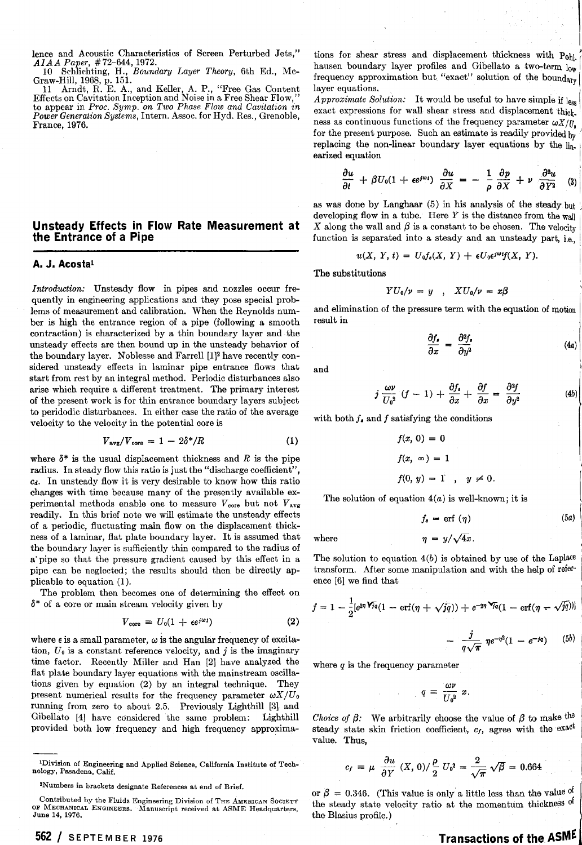lence and Acoustic Characteristics of Screen Perturbed Jets," *AIAA Paper,* # 73-644, 1972.

10 Schlichting, H., *Boundary Layer Theory*, 6th Ed., Mc-

Graw-Hill, 1968, p. 151.<br>– 11 – Arndt, R. E. A., and Keller, A. P., "Free Gas Content<br>Effects on Cavitation Inception and Noise in a Free Shear Flow," to appear in *Proc. Symp.* on Two Phase Flow and Cavitation in **Power Generation Systems, Intern. Assoc. for Hyd.** Res., Grenoble, France, 1976.

#### **Unsteady Effects in Flow Rate Measurement at the Entrance of a Pipe**

#### A. J. Acosta<sup>1</sup>

*Introduction:* Unsteady flow in pipes and nozzles occur frequently in engineering applications and they pose special problems of measurement and calibration. When the Reynolds number is high the entrance region of a pipe (following a smooth contraction) is characterized by a thin boundary layer and the unsteady effects are then bound up in the unsteady behavior of the boundary layer. Woblesse and Farrell [1]2 have recently considered unsteady effects in laminar pipe entrance flows that start from rest by an integral method. Periodic disturbances also arise which require a different treatment. The primary interest of the present work is for thin entrance boundary layers subject to peridodic disturbances. In either case the ratio of the average velocity to the velocity in the potential core is

$$
V_{\text{avg}}/V_{\text{core}} = 1 - 2\delta^*/R \tag{1}
$$

where  $\delta^*$  is the usual displacement thickness and  $R$  is the pipe radius. In steady flow this ratio is just the "discharge coefficient", **cd.** In unsteady flow it is very desirable to know how this ratio changes with time because many of the presently available experimental methods enable one to measure  $V_{\text{core}}$  but not  $V_{\text{avg}}$ readily. In this brief note we will estimate the unsteady effects of a periodic, fluctuating main flow on the displacement thickness of a laminar, flat plate boundary layer. It is assumed that the boundary layer is sufficiently thin compared to the radius of a'pipe so that the pressure gradient caused by this effect in a pipe can be neglected; the results should then be directly applicable to equation (I).

The problem then becomes one of determining the effect on **6\*** of a core or main stream velocity given by

$$
V_{\text{core}} = U_0 (1 + \epsilon e^{j\omega t}) \tag{2}
$$

where  $\epsilon$  is a small parameter,  $\omega$  is the angular frequency of excitation,  $U_0$  is a constant reference velocity, and *j* is the imaginary time factor. Recently Miller and Han [2] have analyzed the flat plate boundary layer equations with the mainstream oscillations given by equation (2) by an integral technique. They present numerical results for the frequency parameter  $\omega X/U_0$ running from zero to about 2.5. Previously Lighthill [3] and Gibellato [4] have considered the same problem: Lighthill provided both low frequency and high frequency approxima-

**'Division of Engineering and Applied Science, California Institute of Technology, Pasadena, Calif.** 

**<sup>562</sup>**/ **SEPTEMBER <sup>1976</sup>**

tions for shear stress and displacement thickness with Pohl. hausen boundary layer profiles and Gibellato a two-term  $_{\text{low}}$ frequency approximation but "exact" solution of the boundary layer equations.

*Approximate Solution:* It would be useful to have simple if less exact expressions for wall shear stress and displacement thick. ness as continuous functions of the frequency parameter  $\omega X/U$ for the present purpose. Such an estimate is readily provided  $_{\text{bv}}$ replacing the non-linear boundary layer equations by the linearized equation

$$
\frac{\partial u}{\partial t} + \beta U_0 (1 + \epsilon e^{j\omega t}) \frac{\partial u}{\partial X} = - \frac{1}{\rho} \frac{\partial p}{\partial X} + \nu \frac{\partial^2 u}{\partial Y^2} \quad (3)
$$

as was done by Langhaar (5) in his analysis of the steady but developing flow in a tube. Here  $Y$  is the distance from the wall X along the wall and  $\beta$  is a constant to be chosen. The velocity function is separated into a steady and an unsteady part, i.e.,

$$
u(X, Y, t) = U_0 f_s(X, Y) + \epsilon U_0 \epsilon^{j\omega t} f(X, Y).
$$

The substitutions

$$
YU_0/\nu = y \quad , \quad XU_0/\nu = x\beta
$$

and elimination of the pressure term with the equation of motion result in

$$
\frac{\partial f_s}{\partial x} = \frac{\partial^2 f_s}{\partial y^2} \tag{4a}
$$

I

and International contract of the contract of the contract of the contract of the contract of the contract of the contract of the contract of the contract of the contract of the contract of the contract of the contract of

$$
j\,\frac{\omega\nu}{U_0^2}\,(f-1)\,+\,\frac{\partial f_\bullet}{\partial x}\,+\,\frac{\partial f}{\partial x}\,=\,\frac{\partial^2 f}{\partial y^2}\qquad \qquad (4b)
$$

with both  $f_a$  and  $f$  satisfying the conditions

$$
f(x, 0) = 0
$$
  

$$
f(x, \infty) = 1
$$
  

$$
f(0, y) = 1, y \neq 0.
$$

The solution of equation  $4(a)$  is well-known; it is

$$
f_s = \text{erf } (\eta) \tag{5a}
$$

where  $\eta = y/\sqrt{4x}$ .

The solution to equation  $4(b)$  is obtained by use of the Laplace transform. After some manipulation and with the help of reference [6] we find that

$$
f = 1 - \frac{1}{2} [e^{2\eta \sqrt{f}q} (1 - \text{erf}(\eta + \sqrt{jq})) + e^{-2\eta \sqrt{f}q} (1 - \text{erf}(\eta - \sqrt{jq}))]
$$

$$
- \frac{j}{q\sqrt{\pi}} \eta e^{-\eta^2} (1 - e^{-jq}) \qquad (5b)
$$

where  $q$  is the frequency parameter

 $q = \frac{\omega \nu}{U_0^2} x.$ 

*Choice of*  $\beta$ *:* We arbitrarily choose the value of  $\beta$  to make the steady state skin friction coefficient, *c<sub>f</sub>*, agree with the exact value. Thus,<br>  $c_f = \mu \frac{\partial u}{\partial Y} (X, 0) / \frac{\rho}{2} U_0^2 = \frac{2}{\sqrt{\pi}} \sqrt{\beta} = 0.664$ value. Thus,

$$
c_f = \mu \frac{\partial u}{\partial Y} (X, 0) / \frac{\rho}{2} U_0^2 = \frac{2}{\sqrt{\pi}} \sqrt{\beta} = 0.664
$$

or  $\beta = 0.346$ . (This value is only a little less than the value <sup>of</sup> the steady state velocity ratio at the momentum thickness of the Blasius profile.)

## **Transactions of the ASME**

**<sup>&#</sup>x27;Numbers in brackets designate References at end of Brief.** 

**Contributed by the Fluids Engineering Division of THE AMBRICAN SOCIETY**  OF MECHANICAL ENGINEERS. Manuscript received at ASME Headquarters, **June 14, 1976.**